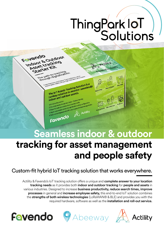# ThingPark IoT

#### The lot Assets Tracking Solution is a<br>The lot Assets Tracking Solution is a<br>The lot Assets Tracking Solution is a The IoT Assets Tracking Solution is a<br>turnkey solution to monitor seamlessly<br>turnkey solution assets. The IoT Assets<br>turnkey solution to monitor<br>indoor and outdoor assets. tion.<br>tionsemiless indoor - Outdoor tracking.<br>for seemiless industrial fedinty. mless indoor - Outcomer<br>ide of any industrial facility.<br>the start and the tracking

Simply the inside and solution through any organization **public of the solution through set of the solution throughly can be integrated with ERP or any organization public of the solution through**  $\triangle$  **Actility Seamless indoor & outdoor** 

# **tracking for asset management and people safety**

Custom-fit hybrid IoT tracking solution that works everywhere.

Actility & Favendo's IoT tracking solution offers a unique and complete answer to your location tracking needs as it provides both indoor and outdoor tracking for people and assets in various industries. Designed to increase business productivity, reduce search times, improve processes in general and increase employee safety, this end-to-end IoT solution combines the strengths of both wireless technologies (LoRaWAN® & BLE) and provides you with the required hardware, software as well as the **installation and roll-out service.** 



Favendo

**Mendo**<br>Indoor & Outdoor

TTEP Path to tracking through digitalization



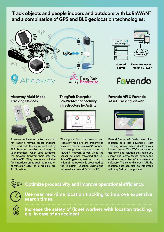#### **Track objects and people indoors and outdoors with LoRaWAN® and a combination of GPS and BLE geolocation technologies:**







**Network Server**

**Favendo's Asset Tracking Viewer**

Favendo

#### **Abeeway Multi-Mode Tracking Devices**



Abeeway multimode trackers are used for tracking moving assets. Indoors, they work with the signals sent out by BLE beacons installed stationary in your premises. When used outdoors, the trackers transmit their data via LoRaWAN®. They are even suitable for hazardous areas such as mines or construction sites, as all trackers are ATEX certified.

#### **ThingPark Enterprise LoRaWAN® connectivity infrastructure by Actility**



The signals from the beacons and Abeeway trackers are transmitted via a low-power LoRaWAN® connection through the gateway to the LoraWAN® network server. Once the sensor data has traversed the Lo-RaWAN® gateway network, the position of the trackers is processed by the ThingPark Location Engine and retrieved via Favendo's Zircon API.

#### **Favendo API & Favendo Asset Tracking Viewer**



Favendo's open API feeds the resolved location data into Favendo's Asset Tracking Viewer, which displays your located assets. The ATV is an easy-touse front-end solution that helps you search and locate assets indoors and outdoors, regardless of any system or software. Thanks to this open API, the location data can also be integrated with any 3rd party application.

### **Optimize productivity and improve operational efficiency.**



**Use near real-time location tracking to improve expensive search times.**



**Increase the safety of (lone) workers with location tracking, e.g. in case of an accident.**